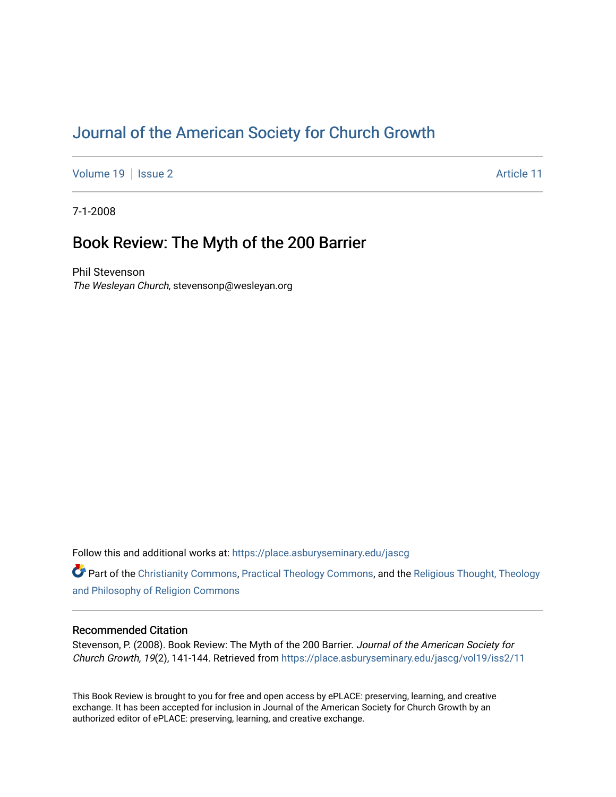# [Journal of the American Society for Church Growth](https://place.asburyseminary.edu/jascg)

[Volume 19](https://place.asburyseminary.edu/jascg/vol19) | [Issue 2](https://place.asburyseminary.edu/jascg/vol19/iss2) Article 11

7-1-2008

## Book Review: The Myth of the 200 Barrier

Phil Stevenson The Wesleyan Church, stevensonp@wesleyan.org

Follow this and additional works at: [https://place.asburyseminary.edu/jascg](https://place.asburyseminary.edu/jascg?utm_source=place.asburyseminary.edu%2Fjascg%2Fvol19%2Fiss2%2F11&utm_medium=PDF&utm_campaign=PDFCoverPages)

Part of the [Christianity Commons,](https://network.bepress.com/hgg/discipline/1181?utm_source=place.asburyseminary.edu%2Fjascg%2Fvol19%2Fiss2%2F11&utm_medium=PDF&utm_campaign=PDFCoverPages) [Practical Theology Commons](https://network.bepress.com/hgg/discipline/1186?utm_source=place.asburyseminary.edu%2Fjascg%2Fvol19%2Fiss2%2F11&utm_medium=PDF&utm_campaign=PDFCoverPages), and the [Religious Thought, Theology](https://network.bepress.com/hgg/discipline/544?utm_source=place.asburyseminary.edu%2Fjascg%2Fvol19%2Fiss2%2F11&utm_medium=PDF&utm_campaign=PDFCoverPages)  [and Philosophy of Religion Commons](https://network.bepress.com/hgg/discipline/544?utm_source=place.asburyseminary.edu%2Fjascg%2Fvol19%2Fiss2%2F11&utm_medium=PDF&utm_campaign=PDFCoverPages)

## Recommended Citation

Stevenson, P. (2008). Book Review: The Myth of the 200 Barrier. Journal of the American Society for Church Growth, 19(2), 141-144. Retrieved from [https://place.asburyseminary.edu/jascg/vol19/iss2/11](https://place.asburyseminary.edu/jascg/vol19/iss2/11?utm_source=place.asburyseminary.edu%2Fjascg%2Fvol19%2Fiss2%2F11&utm_medium=PDF&utm_campaign=PDFCoverPages)

This Book Review is brought to you for free and open access by ePLACE: preserving, learning, and creative exchange. It has been accepted for inclusion in Journal of the American Society for Church Growth by an authorized editor of ePLACE: preserving, learning, and creative exchange.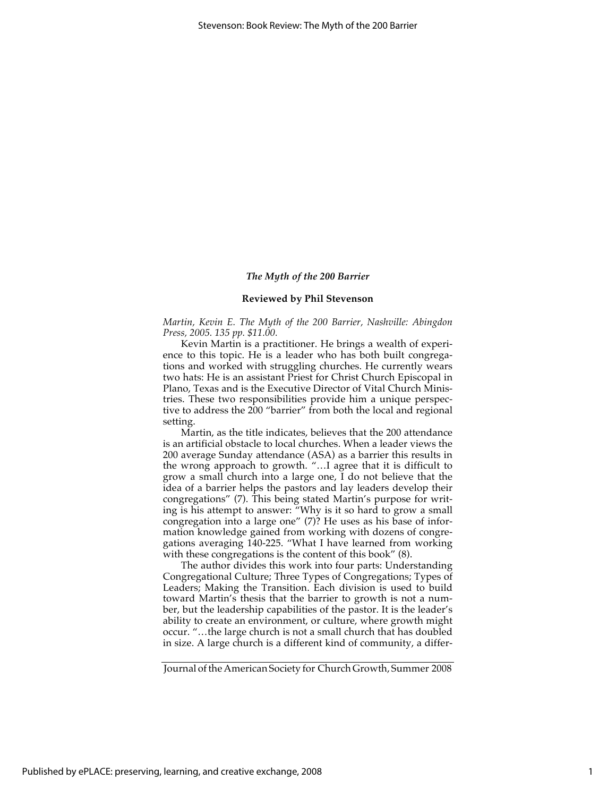### *The Myth of the 200 Barrier*

#### **Reviewed by Phil Stevenson**

*Martin, Kevin E. The Myth of the 200 Barrier, Nashville: Abingdon Press, 2005. 135 pp. \$11.00.*

Kevin Martin is a practitioner. He brings a wealth of experience to this topic. He is a leader who has both built congregations and worked with struggling churches. He currently wears two hats: He is an assistant Priest for Christ Church Episcopal in Plano, Texas and is the Executive Director of Vital Church Ministries. These two responsibilities provide him a unique perspective to address the 200 "barrier" from both the local and regional setting.

Martin, as the title indicates, believes that the 200 attendance is an artificial obstacle to local churches. When a leader views the 200 average Sunday attendance (ASA) as a barrier this results in the wrong approach to growth. "…I agree that it is difficult to grow a small church into a large one, I do not believe that the idea of a barrier helps the pastors and lay leaders develop their congregations" (7). This being stated Martin's purpose for writing is his attempt to answer: "Why is it so hard to grow a small congregation into a large one" (7)? He uses as his base of information knowledge gained from working with dozens of congregations averaging 140-225. "What I have learned from working with these congregations is the content of this book" (8).

The author divides this work into four parts: Understanding Congregational Culture; Three Types of Congregations; Types of Leaders; Making the Transition. Each division is used to build toward Martin's thesis that the barrier to growth is not a number, but the leadership capabilities of the pastor. It is the leader's ability to create an environment, or culture, where growth might occur. "…the large church is not a small church that has doubled in size. A large church is a different kind of community, a differ-

Journal of the American Society for Church Growth, Summer 2008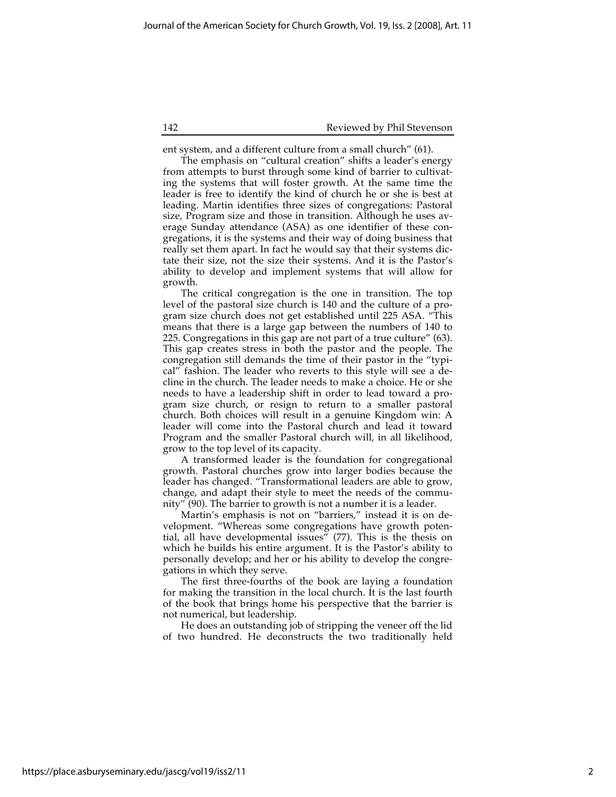142 Reviewed by Phil Stevenson

ent system, and a different culture from a small church" (61).

The emphasis on "cultural creation" shifts a leader's energy from attempts to burst through some kind of barrier to cultivating the systems that will foster growth. At the same time the leader is free to identify the kind of church he or she is best at leading. Martin identifies three sizes of congregations: Pastoral size, Program size and those in transition. Although he uses average Sunday attendance (ASA) as one identifier of these congregations, it is the systems and their way of doing business that really set them apart. In fact he would say that their systems dictate their size, not the size their systems. And it is the Pastor's ability to develop and implement systems that will allow for growth.

The critical congregation is the one in transition. The top level of the pastoral size church is 140 and the culture of a program size church does not get established until 225 ASA. "This means that there is a large gap between the numbers of 140 to 225. Congregations in this gap are not part of a true culture" (63). This gap creates stress in both the pastor and the people. The congregation still demands the time of their pastor in the "typical" fashion. The leader who reverts to this style will see a decline in the church. The leader needs to make a choice. He or she needs to have a leadership shift in order to lead toward a program size church, or resign to return to a smaller pastoral church. Both choices will result in a genuine Kingdom win: A leader will come into the Pastoral church and lead it toward Program and the smaller Pastoral church will, in all likelihood, grow to the top level of its capacity.

A transformed leader is the foundation for congregational growth. Pastoral churches grow into larger bodies because the leader has changed. "Transformational leaders are able to grow, change, and adapt their style to meet the needs of the community" (90). The barrier to growth is not a number it is a leader.

Martin's emphasis is not on "barriers," instead it is on development. "Whereas some congregations have growth potential, all have developmental issues<sup> $''$ </sup> (77). This is the thesis on which he builds his entire argument. It is the Pastor's ability to personally develop; and her or his ability to develop the congregations in which they serve.

The first three-fourths of the book are laying a foundation for making the transition in the local church. It is the last fourth of the book that brings home his perspective that the barrier is not numerical, but leadership.

He does an outstanding job of stripping the veneer off the lid of two hundred. He deconstructs the two traditionally held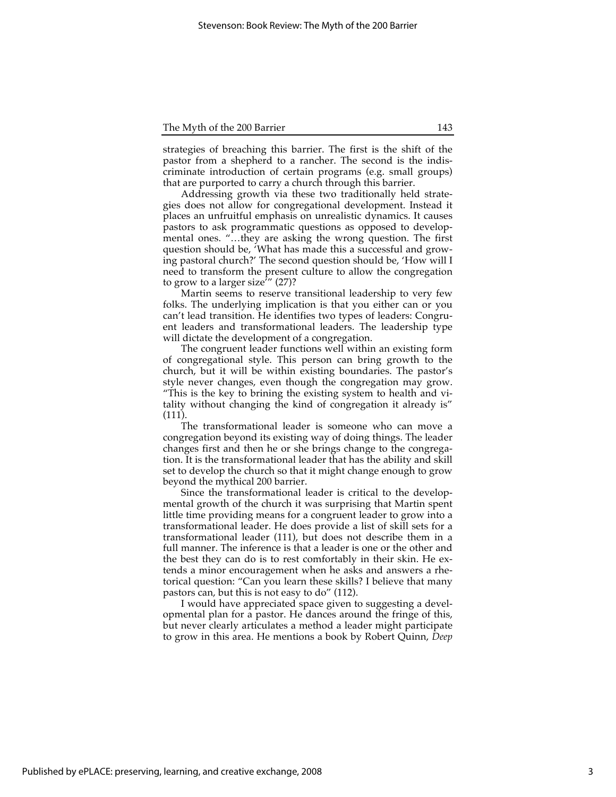#### The Myth of the 200 Barrier 143

strategies of breaching this barrier. The first is the shift of the pastor from a shepherd to a rancher. The second is the indiscriminate introduction of certain programs (e.g. small groups) that are purported to carry a church through this barrier.

Addressing growth via these two traditionally held strategies does not allow for congregational development. Instead it places an unfruitful emphasis on unrealistic dynamics. It causes pastors to ask programmatic questions as opposed to developmental ones. "…they are asking the wrong question. The first question should be, 'What has made this a successful and growing pastoral church?' The second question should be, 'How will I need to transform the present culture to allow the congregation to grow to a larger size<sup> $7$ </sup>" (27)?

Martin seems to reserve transitional leadership to very few folks. The underlying implication is that you either can or you can't lead transition. He identifies two types of leaders: Congruent leaders and transformational leaders. The leadership type will dictate the development of a congregation.

The congruent leader functions well within an existing form of congregational style. This person can bring growth to the church, but it will be within existing boundaries. The pastor's style never changes, even though the congregation may grow. "This is the key to brining the existing system to health and vitality without changing the kind of congregation it already is" (111).

The transformational leader is someone who can move a congregation beyond its existing way of doing things. The leader changes first and then he or she brings change to the congregation. It is the transformational leader that has the ability and skill set to develop the church so that it might change enough to grow beyond the mythical 200 barrier.

Since the transformational leader is critical to the developmental growth of the church it was surprising that Martin spent little time providing means for a congruent leader to grow into a transformational leader. He does provide a list of skill sets for a transformational leader (111), but does not describe them in a full manner. The inference is that a leader is one or the other and the best they can do is to rest comfortably in their skin. He extends a minor encouragement when he asks and answers a rhetorical question: "Can you learn these skills? I believe that many pastors can, but this is not easy to do" (112).

I would have appreciated space given to suggesting a developmental plan for a pastor. He dances around the fringe of this, but never clearly articulates a method a leader might participate to grow in this area. He mentions a book by Robert Quinn, *Deep*